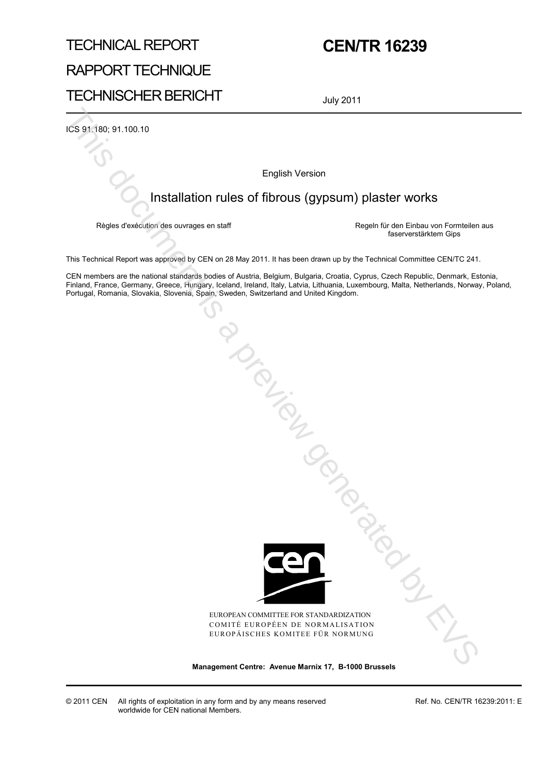# TECHNICAL REPORT RAPPORT TECHNIQUE TECHNISCHER BERICHT

# **CEN/TR 16239**

July 2011

ICS 91.180; 91.100.10

English Version

### Installation rules of fibrous (gypsum) plaster works

Règles d'exécution des ouvrages en staff **Regeln für den Einbau von Formteilen aus** faserverstärktem Gips

This Technical Report was approved by CEN on 28 May 2011. It has been drawn up by the Technical Committee CEN/TC 241.

CEN members are the national standards bodies of Austria, Belgium, Bulgaria, Croatia, Cyprus, Czech Republic, Denmark, Estonia, Finland, France, Germany, Greece, Hungary, Iceland, Ireland, Italy, Latvia, Lithuania, Luxembourg, Malta, Netherlands, Norway, Poland, Portugal, Romania, Slovakia, Slovenia, Spain, Sweden, Switzerland and United Kingdom. English Version<br>
English Version<br>
Management Centre: Alegan Brussels Centre<br>
This Technical Report was approved by CEN on 20 May 23:11. It has been discuss up to it Technical Vormittele Centre<br>
This document is a previous



EUROPEAN COMMITTEE FOR STANDARDIZATION COMITÉ EUROPÉEN DE NORMALISATION EUROPÄISCHES KOMITEE FÜR NORMUNG

© 2011 CEN All rights of exploitation in any form and by any means reserved worldwide for CEN national Members.

Ref. No. CEN/TR 16239:2011: E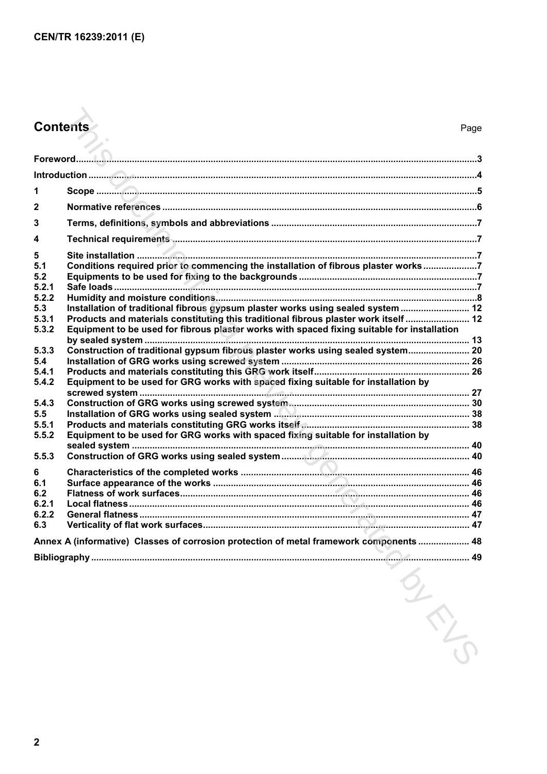# **Contents** Page

|                | <b>Contents</b>                                                                             | Page |
|----------------|---------------------------------------------------------------------------------------------|------|
|                |                                                                                             |      |
|                |                                                                                             |      |
|                |                                                                                             |      |
| 1              |                                                                                             |      |
| $\mathbf{2}$   |                                                                                             |      |
| 3              |                                                                                             |      |
| 4              |                                                                                             |      |
| 5              |                                                                                             |      |
| 5.1            | Conditions required prior to commencing the installation of fibrous plaster works7          |      |
| 5.2<br>5.2.1   |                                                                                             |      |
| 5.2.2          |                                                                                             |      |
| 5.3            | Installation of traditional fibrous gypsum plaster works using sealed system  12            |      |
| 5.3.1          | Products and materials constituting this traditional fibrous plaster work itself 12         |      |
| 5.3.2          | Equipment to be used for fibrous plaster works with spaced fixing suitable for installation |      |
| 5.3.3          | Construction of traditional gypsum fibrous plaster works using sealed system 20             |      |
| 5.4            |                                                                                             |      |
| 5.4.1          |                                                                                             |      |
| 5.4.2          | Equipment to be used for GRG works with spaced fixing suitable for installation by          |      |
| 5.4.3          |                                                                                             |      |
| 5.5            |                                                                                             |      |
| 5.5.1          |                                                                                             |      |
| 5.5.2          | Equipment to be used for GRG works with spaced fixing suitable for installation by          |      |
|                |                                                                                             |      |
| 5.5.3          |                                                                                             |      |
| 6              |                                                                                             |      |
| 6.1            |                                                                                             |      |
| 6.2            |                                                                                             |      |
| 6.2.1<br>6.2.2 |                                                                                             |      |
| 6.3            |                                                                                             |      |
|                | Annex A (informative) Classes of corrosion protection of metal framework components  48     |      |
|                | 49                                                                                          |      |
|                | SILLED                                                                                      |      |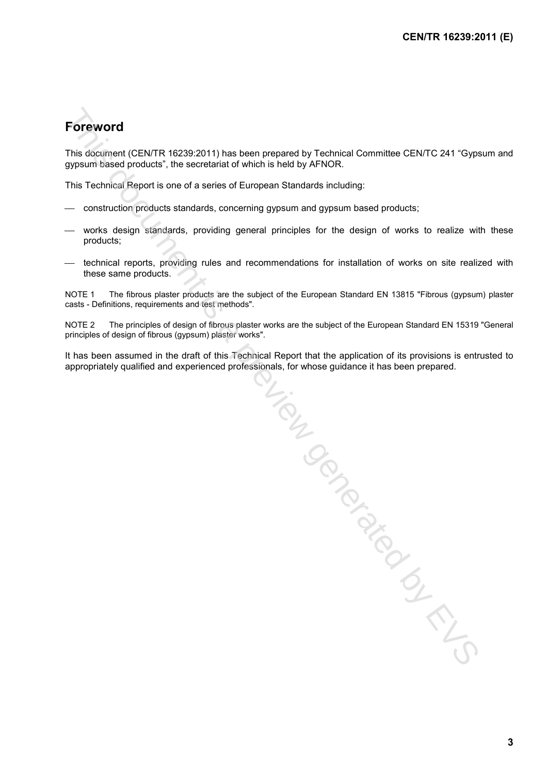## **Foreword**

This document (CEN/TR 16239:2011) has been prepared by Technical Committee CEN/TC 241 "Gypsum and gypsum based products", the secretariat of which is held by AFNOR.

This Technical Report is one of a series of European Standards including:

- construction products standards, concerning gypsum and gypsum based products;
- works design standards, providing general principles for the design of works to realize with these products;
- $-$  technical reports, providing rules and recommendations for installation of works on site realized with these same products.

NOTE 1 The fibrous plaster products are the subject of the European Standard EN 13815 "Fibrous (gypsum) plaster casts - Definitions, requirements and test methods".

NOTE 2 The principles of design of fibrous plaster works are the subject of the European Standard EN 15319 "General principles of design of fibrous (gypsum) plaster works".

It has been assumed in the draft of this Technical Report that the application of its provisions is entrusted to appropriately qualified and experienced professionals, for whose guidance it has been prepared.

Material Material Contractions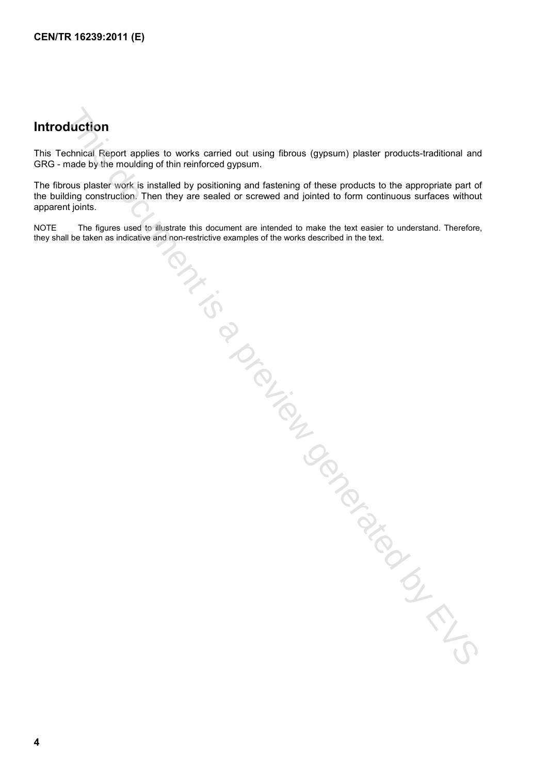## **Introduction**

This Technical Report applies to works carried out using fibrous (gypsum) plaster products-traditional and GRG - made by the moulding of thin reinforced gypsum.

The fibrous plaster work is installed by positioning and fastening of these products to the appropriate part of the building construction. Then they are sealed or screwed and jointed to form continuous surfaces without apparent joints. No second by Contraction Contraction Contraction Contraction Contraction Contraction Contraction Contraction Contraction Contraction Contraction Contraction Contraction Contraction Contraction Contraction Contraction Contr

NOTE The figures used to illustrate this document are intended to make the text easier to understand. Therefore, they shall be taken as indicative and non-restrictive examples of the works described in the text.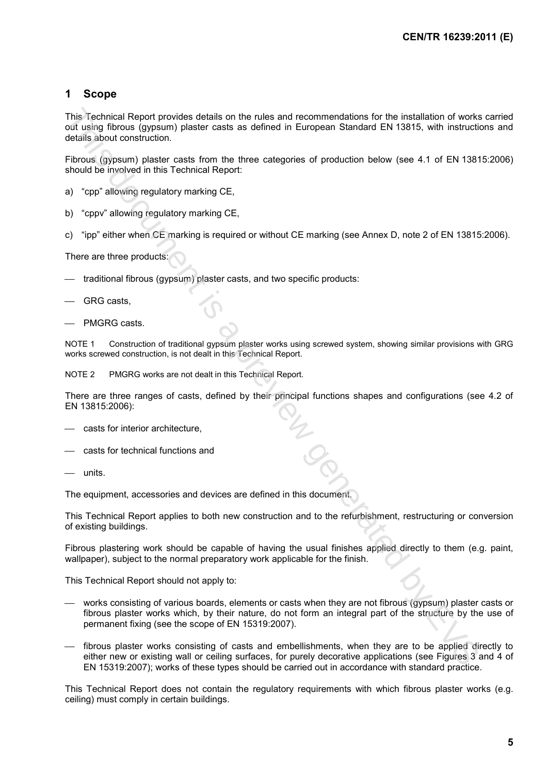#### **1 Scope**

This Technical Report provides details on the rules and recommendations for the installation of works carried out using fibrous (gypsum) plaster casts as defined in European Standard EN 13815, with instructions and details about construction.

Fibrous (gypsum) plaster casts from the three categories of production below (see 4.1 of EN 13815:2006) should be involved in this Technical Report:

- a) "cpp" allowing regulatory marking CE,
- b) "cppv" allowing regulatory marking CE,
- c) "ipp" either when CE marking is required or without CE marking (see Annex D, note 2 of EN 13815:2006).

There are three products:

- traditional fibrous (gypsum) plaster casts, and two specific products:
- GRG casts,
- PMGRG casts.

NOTE 1 Construction of traditional gypsum plaster works using screwed system, showing similar provisions with GRG works screwed construction, is not dealt in this Technical Report.

NOTE 2 PMGRG works are not dealt in this Technical Report.

There are three ranges of casts, defined by their principal functions shapes and configurations (see 4.2 of EN 13815:2006):

- casts for interior architecture,
- casts for technical functions and
- units.

The equipment, accessories and devices are defined in this document.

This Technical Report applies to both new construction and to the refurbishment, restructuring or conversion of existing buildings.

Fibrous plastering work should be capable of having the usual finishes applied directly to them (e.g. paint, wallpaper), subject to the normal preparatory work applicable for the finish.

This Technical Report should not apply to:

- works consisting of various boards, elements or casts when they are not fibrous (gypsum) plaster casts or fibrous plaster works which, by their nature, do not form an integral part of the structure by the use of permanent fixing (see the scope of EN 15319:2007). This Trachmial Report provides details on the rules and recommendations for the installation of works<br>codument points a preview generates as defined in European Standard EN 13815, with instruction<br>docume (spessimply plaste
- fibrous plaster works consisting of casts and embellishments, when they are to be applied directly to either new or existing wall or ceiling surfaces, for purely decorative applications (see Figures 3 and 4 of EN 15319:2007); works of these types should be carried out in accordance with standard practice.

This Technical Report does not contain the regulatory requirements with which fibrous plaster works (e.g. ceiling) must comply in certain buildings.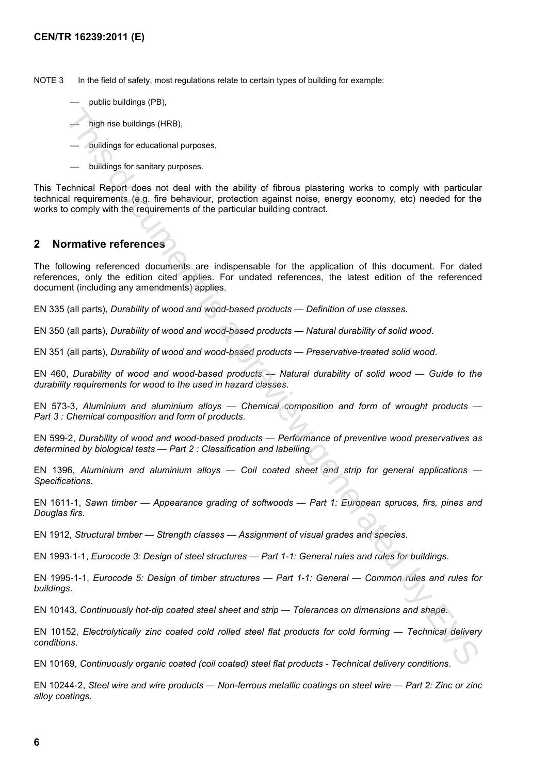NOTE 3 In the field of safety, most regulations relate to certain types of building for example:

- public buildings (PB),
- high rise buildings (HRB),
- buildings for educational purposes,
- buildings for sanitary purposes.

This Technical Report does not deal with the ability of fibrous plastering works to comply with particular technical requirements (e.g. fire behaviour, protection against noise, energy economy, etc) needed for the works to comply with the requirements of the particular building contract.

#### **2 Normative references**

The following referenced documents are indispensable for the application of this document. For dated references, only the edition cited applies. For undated references, the latest edition of the referenced document (including any amendments) applies. - high rise buildings (HRB),<br>- buildings for educational purposes,<br>- buildings for educational purposes,<br>- buildings for educational purposes,<br>- buildings for educational purposes,<br>- buildings for elucitional represents.<br>I

EN 335 (all parts), *Durability of wood and wood-based products — Definition of use classes*.

EN 350 (all parts), *Durability of wood and wood-based products — Natural durability of solid wood*.

EN 351 (all parts), *Durability of wood and wood-based products — Preservative-treated solid wood*.

EN 460, *Durability of wood and wood-based products — Natural durability of solid wood — Guide to the durability requirements for wood to the used in hazard classes*.

EN 573-3, *Aluminium and aluminium alloys — Chemical composition and form of wrought products — Part 3 : Chemical composition and form of products*.

EN 599-2, *Durability of wood and wood-based products — Performance of preventive wood preservatives as determined by biological tests — Part 2 : Classification and labelling*.

EN 1396, *Aluminium and aluminium alloys — Coil coated sheet and strip for general applications — Specifications*.

EN 1611-1, *Sawn timber — Appearance grading of softwoods — Part 1: European spruces, firs, pines and Douglas firs*.

EN 1912, *Structural timber — Strength classes — Assignment of visual grades and species*.

EN 1993-1-1, *Eurocode 3: Design of steel structures — Part 1-1: General rules and rules for buildings*.

EN 1995-1-1, *Eurocode 5: Design of timber structures — Part 1-1: General — Common rules and rules for buildings*.

EN 10143, *Continuously hot-dip coated steel sheet and strip — Tolerances on dimensions and shape*.

EN 10152, *Electrolytically zinc coated cold rolled steel flat products for cold forming — Technical delivery conditions*.

EN 10169, *Continuously organic coated (coil coated) steel flat products - Technical delivery conditions*.

EN 10244-2, *Steel wire and wire products — Non-ferrous metallic coatings on steel wire — Part 2: Zinc or zinc alloy coatings*.